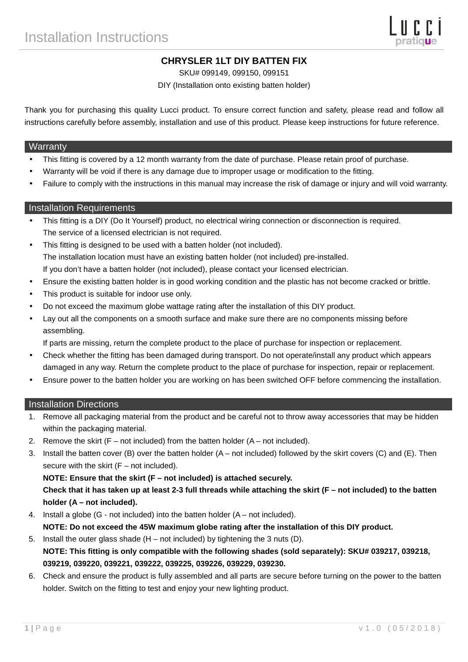# **CHRYSLER 1LT DIY BATTEN FIX**

SKU# 099149, 099150, 099151

DIY (Installation onto existing batten holder)

Thank you for purchasing this quality Lucci product. To ensure correct function and safety, please read and follow all instructions carefully before assembly, installation and use of this product. Please keep instructions for future reference.

#### **Warranty**

- This fitting is covered by a 12 month warranty from the date of purchase. Please retain proof of purchase.
- Warranty will be void if there is any damage due to improper usage or modification to the fitting.
- Failure to comply with the instructions in this manual may increase the risk of damage or injury and will void warranty.

## Installation Requirements

- This fitting is a DIY (Do It Yourself) product, no electrical wiring connection or disconnection is required. The service of a licensed electrician is not required.
- This fitting is designed to be used with a batten holder (not included). The installation location must have an existing batten holder (not included) pre-installed. If you don't have a batten holder (not included), please contact your licensed electrician.
- Ensure the existing batten holder is in good working condition and the plastic has not become cracked or brittle.
- This product is suitable for indoor use only.
- Do not exceed the maximum globe wattage rating after the installation of this DIY product.
- Lay out all the components on a smooth surface and make sure there are no components missing before assembling.

If parts are missing, return the complete product to the place of purchase for inspection or replacement.

- Check whether the fitting has been damaged during transport. Do not operate/install any product which appears damaged in any way. Return the complete product to the place of purchase for inspection, repair or replacement.
- Ensure power to the batten holder you are working on has been switched OFF before commencing the installation.

## Installation Directions

- 1. Remove all packaging material from the product and be careful not to throw away accessories that may be hidden within the packaging material.
- 2. Remove the skirt  $(F not included)$  from the batten holder  $(A not included)$ .
- 3. Install the batten cover (B) over the batten holder (A not included) followed by the skirt covers (C) and (E). Then secure with the skirt  $(F - not included)$ .

## **NOTE: Ensure that the skirt (F – not included) is attached securely.**

**Check that it has taken up at least 2-3 full threads while attaching the skirt (F – not included) to the batten holder (A – not included).** 

4. Install a globe (G - not included) into the batten holder (A – not included).

**NOTE: Do not exceed the 45W maximum globe rating after the installation of this DIY product.** 

- 5. Install the outer glass shade  $(H not included)$  by tightening the 3 nuts  $(D)$ . **NOTE: This fitting is only compatible with the following shades (sold separately): SKU# 039217, 039218, 039219, 039220, 039221, 039222, 039225, 039226, 039229, 039230.**
- 6. Check and ensure the product is fully assembled and all parts are secure before turning on the power to the batten holder. Switch on the fitting to test and enjoy your new lighting product.